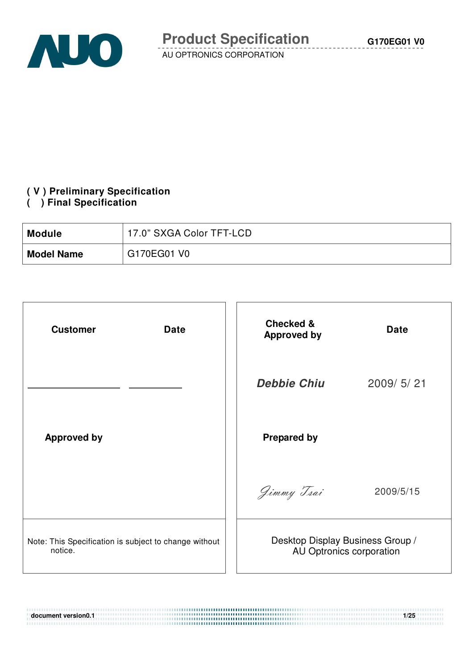

## **( V ) Preliminary Specification**

#### **( ) Final Specification**

| <b>Module</b>     | 17.0" SXGA Color TFT-LCD |
|-------------------|--------------------------|
| <b>Model Name</b> | G170EG01 V0              |

| <b>Customer</b><br><b>Date</b>                                   | <b>Checked &amp;</b><br><b>Approved by</b> | <b>Date</b>              |
|------------------------------------------------------------------|--------------------------------------------|--------------------------|
|                                                                  | <b>Debbie Chiu</b>                         | 2009/5/21                |
| <b>Approved by</b>                                               | <b>Prepared by</b>                         |                          |
|                                                                  | Jimmy Tsai                                 | 2009/5/15                |
| Note: This Specification is subject to change without<br>notice. | Desktop Display Business Group /           | AU Optronics corporation |

**document version0.1 1/25**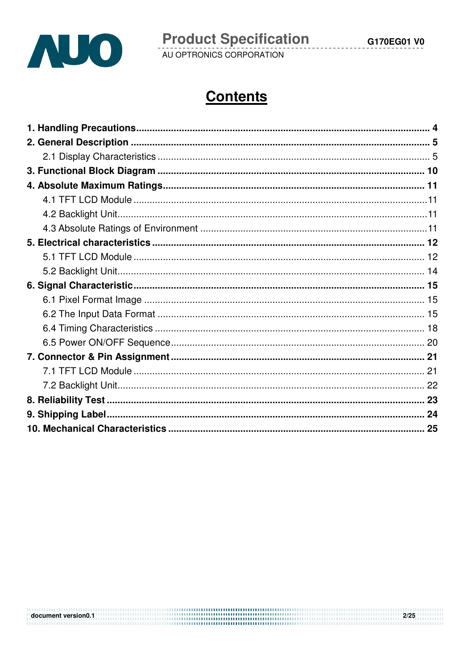

 $2/25$ 

# **Contents**

document version0.1 and the contract of the contract of the contract of the contract of the contract of the contract of the contract of the contract of the contract of the contract of the contract of the contract of the co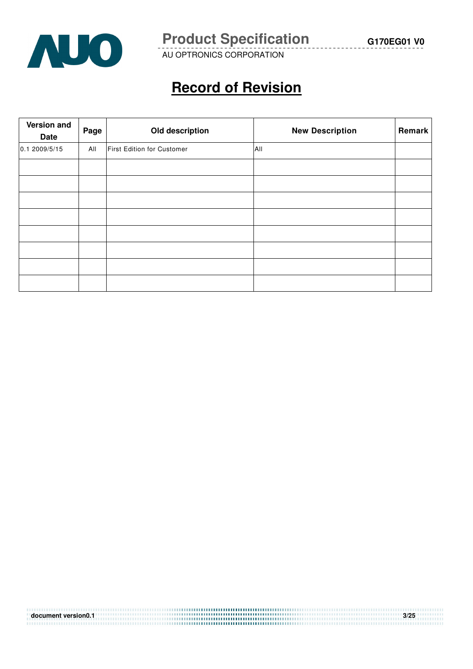

**Product Specification** G170EG01 V0

AU OPTRONICS CORPORATION

# **Record of Revision**

| Version and<br>Date | Page | Old description            | <b>New Description</b> | Remark |
|---------------------|------|----------------------------|------------------------|--------|
| 0.1 2009/5/15       | All  | First Edition for Customer | All                    |        |
|                     |      |                            |                        |        |
|                     |      |                            |                        |        |
|                     |      |                            |                        |        |
|                     |      |                            |                        |        |
|                     |      |                            |                        |        |
|                     |      |                            |                        |        |
|                     |      |                            |                        |        |
|                     |      |                            |                        |        |

| document version0.1 | 3/25 |
|---------------------|------|
|                     |      |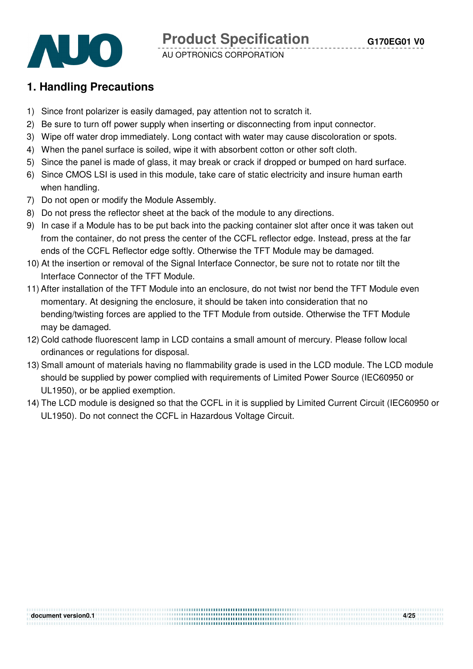

## **1. Handling Precautions**

- 1) Since front polarizer is easily damaged, pay attention not to scratch it.
- 2) Be sure to turn off power supply when inserting or disconnecting from input connector.
- 3) Wipe off water drop immediately. Long contact with water may cause discoloration or spots.
- 4) When the panel surface is soiled, wipe it with absorbent cotton or other soft cloth.
- 5) Since the panel is made of glass, it may break or crack if dropped or bumped on hard surface.
- 6) Since CMOS LSI is used in this module, take care of static electricity and insure human earth when handling.
- 7) Do not open or modify the Module Assembly.
- 8) Do not press the reflector sheet at the back of the module to any directions.
- 9) In case if a Module has to be put back into the packing container slot after once it was taken out from the container, do not press the center of the CCFL reflector edge. Instead, press at the far ends of the CCFL Reflector edge softly. Otherwise the TFT Module may be damaged.
- 10) At the insertion or removal of the Signal Interface Connector, be sure not to rotate nor tilt the Interface Connector of the TFT Module.
- 11) After installation of the TFT Module into an enclosure, do not twist nor bend the TFT Module even momentary. At designing the enclosure, it should be taken into consideration that no bending/twisting forces are applied to the TFT Module from outside. Otherwise the TFT Module may be damaged.
- 12) Cold cathode fluorescent lamp in LCD contains a small amount of mercury. Please follow local ordinances or regulations for disposal.
- 13) Small amount of materials having no flammability grade is used in the LCD module. The LCD module should be supplied by power complied with requirements of Limited Power Source (IEC60950 or UL1950), or be applied exemption.
- 14) The LCD module is designed so that the CCFL in it is supplied by Limited Current Circuit (IEC60950 or UL1950). Do not connect the CCFL in Hazardous Voltage Circuit.

**document version0.1 4/25**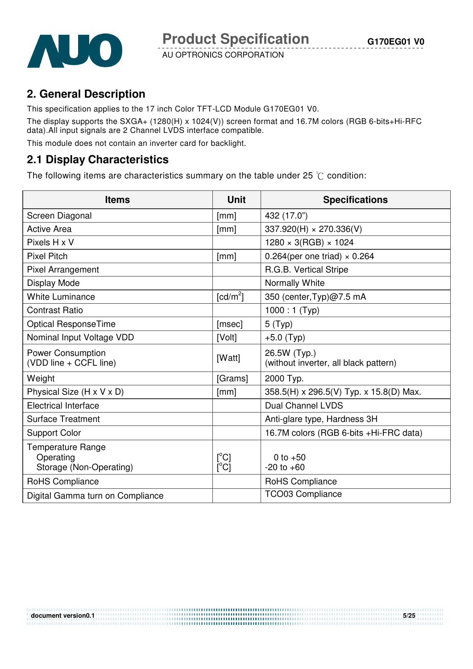

## **2. General Description**

This specification applies to the 17 inch Color TFT-LCD Module G170EG01 V0. The display supports the SXGA+ (1280(H) x 1024(V)) screen format and 16.7M colors (RGB 6-bits+Hi-RFC data).All input signals are 2 Channel LVDS interface compatible.

This module does not contain an inverter card for backlight.

## **2.1 Display Characteristics**

The following items are characteristics summary on the table under 25  $\degree$ C condition:

| <b>Items</b>                                              | <b>Unit</b>                       | <b>Specifications</b>                                 |
|-----------------------------------------------------------|-----------------------------------|-------------------------------------------------------|
| Screen Diagonal                                           | [mm]                              | 432 (17.0")                                           |
| <b>Active Area</b>                                        | [mm]                              | $337.920(H) \times 270.336(V)$                        |
| Pixels H x V                                              |                                   | $1280 \times 3(RGB) \times 1024$                      |
| <b>Pixel Pitch</b>                                        | [mm]                              | $0.264$ (per one triad) $\times$ 0.264                |
| <b>Pixel Arrangement</b>                                  |                                   | R.G.B. Vertical Stripe                                |
| Display Mode                                              |                                   | Normally White                                        |
| <b>White Luminance</b>                                    | $\lceil cd/m^2 \rceil$            | 350 (center, Typ)@7.5 mA                              |
| <b>Contrast Ratio</b>                                     |                                   | $1000:1$ (Typ)                                        |
| <b>Optical ResponseTime</b>                               | [msec]                            | 5(Typ)                                                |
| Nominal Input Voltage VDD                                 | [Volt]                            | $+5.0$ (Typ)                                          |
| <b>Power Consumption</b><br>(VDD line + CCFL line)        | [Watt]                            | 26.5W (Typ.)<br>(without inverter, all black pattern) |
| Weight                                                    | [Grams]                           | 2000 Typ.                                             |
| Physical Size (H x V x D)                                 | [mm]                              | 358.5(H) x 296.5(V) Typ. x 15.8(D) Max.               |
| <b>Electrical Interface</b>                               |                                   | <b>Dual Channel LVDS</b>                              |
| <b>Surface Treatment</b>                                  |                                   | Anti-glare type, Hardness 3H                          |
| <b>Support Color</b>                                      |                                   | 16.7M colors (RGB 6-bits +Hi-FRC data)                |
| Temperature Range<br>Operating<br>Storage (Non-Operating) | $\lceil{^{\circ}C}\rceil$<br>[°C] | 0 to $+50$<br>$-20$ to $+60$                          |
| RoHS Compliance                                           |                                   | RoHS Compliance                                       |
| Digital Gamma turn on Compliance                          |                                   | <b>TCO03 Compliance</b>                               |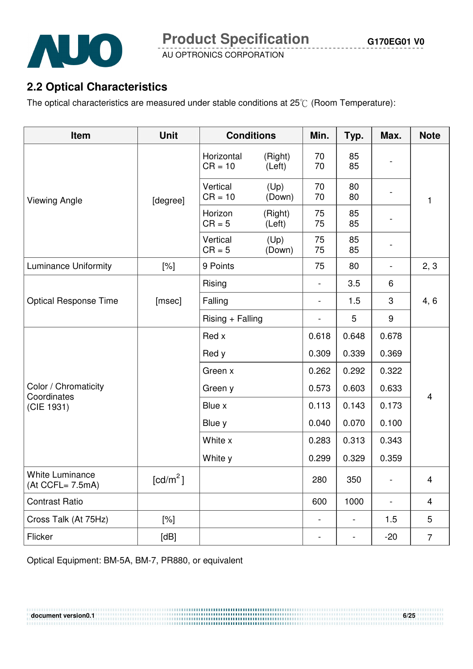

## **2.2 Optical Characteristics**

The optical characteristics are measured under stable conditions at  $25^{\circ}$  (Room Temperature):

| Item                                       | <b>Unit</b>          | <b>Conditions</b>       |                   | Min.                         | Typ.                     | Max.                     | <b>Note</b>             |
|--------------------------------------------|----------------------|-------------------------|-------------------|------------------------------|--------------------------|--------------------------|-------------------------|
|                                            |                      | Horizontal<br>$CR = 10$ | (Right)<br>(Left) | 70<br>70                     | 85<br>85                 |                          |                         |
| <b>Viewing Angle</b>                       | [degree]             | Vertical<br>$CR = 10$   | (Up)<br>(Down)    | 70<br>70                     | 80<br>80                 |                          | 1                       |
|                                            |                      | Horizon<br>$CR = 5$     | (Right)<br>(Left) | 75<br>75                     | 85<br>85                 |                          |                         |
|                                            |                      | Vertical<br>$CR = 5$    | (Up)<br>(Down)    | 75<br>75                     | 85<br>85                 |                          |                         |
| <b>Luminance Uniformity</b>                | $[\%]$               | 9 Points                |                   | 75                           | 80                       |                          | 2, 3                    |
|                                            |                      | Rising                  |                   | $\overline{\phantom{a}}$     | 3.5                      | 6                        |                         |
| <b>Optical Response Time</b>               | [msec]               | Falling                 |                   | $\overline{\phantom{0}}$     | 1.5                      | 3                        | 4, 6                    |
|                                            |                      | $Rising + Falling$      |                   |                              | 5                        | 9                        |                         |
|                                            |                      | Red x                   |                   | 0.618                        | 0.648                    | 0.678                    |                         |
|                                            |                      | Red y                   |                   | 0.309                        | 0.339                    | 0.369                    |                         |
|                                            |                      | Green x                 |                   | 0.262                        | 0.292                    | 0.322                    |                         |
| Color / Chromaticity                       |                      | Green y                 |                   | 0.573                        | 0.603                    | 0.633                    |                         |
| Coordinates<br>(CIE 1931)                  |                      | Blue x                  |                   | 0.113                        | 0.143                    | 0.173                    | $\overline{\mathbf{4}}$ |
|                                            |                      | Blue y                  |                   | 0.040                        | 0.070                    | 0.100                    |                         |
|                                            |                      | White x                 |                   | 0.283                        | 0.313                    | 0.343                    |                         |
|                                            |                      | White y                 |                   | 0.299                        | 0.329                    | 0.359                    |                         |
| <b>White Luminance</b><br>(At CCFL= 7.5mA) | [cd/m <sup>2</sup> ] |                         |                   | 280                          | 350                      |                          | 4                       |
| <b>Contrast Ratio</b>                      |                      |                         |                   | 600                          | 1000                     | $\overline{\phantom{0}}$ | $\overline{\mathbf{4}}$ |
| Cross Talk (At 75Hz)                       | [%]                  |                         |                   | $\qquad \qquad -$            | $\overline{\phantom{0}}$ | 1.5                      | 5                       |
| Flicker                                    | [dB]                 |                         |                   | $\qquad \qquad \blacksquare$ | $\blacksquare$           | $-20$                    | $\overline{7}$          |

**document version0.1** 6/25

Optical Equipment: BM-5A, BM-7, PR880, or equivalent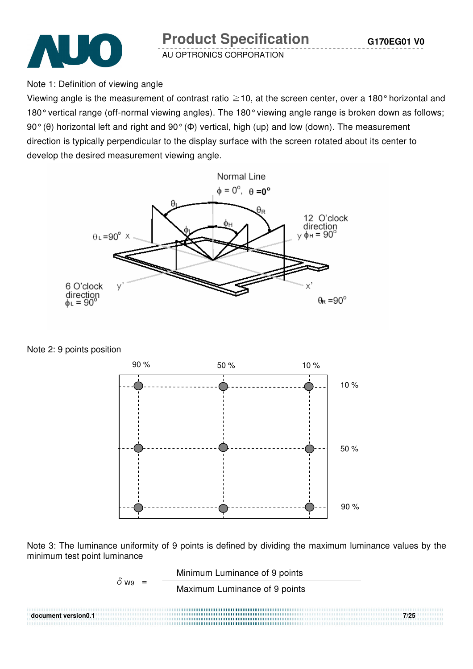

**Product Specification** 

 **G170EG01 V0**

AU OPTRONICS CORPORATION

Note 1: Definition of viewing angle

Viewing angle is the measurement of contrast ratio  $\geq$  10, at the screen center, over a 180° horizontal and 180° vertical range (off-normal viewing angles). The 180° viewing angle range is broken down as follows; 90° (θ) horizontal left and right and 90° (Φ) vertical, high (up) and low (down). The measurement direction is typically perpendicular to the display surface with the screen rotated about its center to develop the desired measurement viewing angle.



Note 2: 9 points position



Note 3: The luminance uniformity of 9 points is defined by dividing the maximum luminance values by the minimum test point luminance

$$
\delta_{W9} = \frac{\text{Minimum Luminance of 9 points}}{\text{Maximum Luminance of 9 points}}
$$
\ndocument version 0.17/25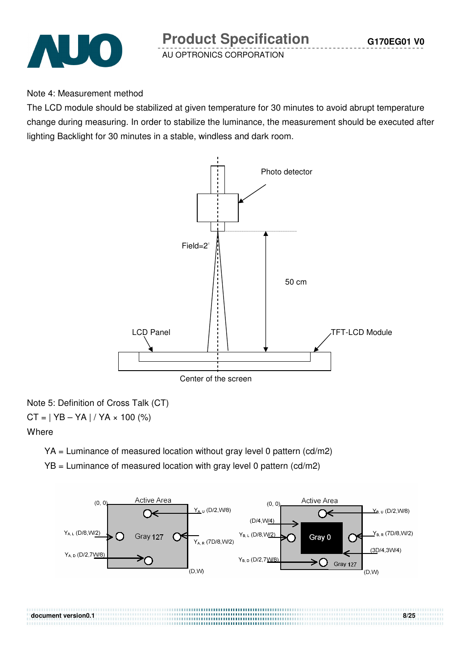

#### Note 4: Measurement method

The LCD module should be stabilized at given temperature for 30 minutes to avoid abrupt temperature change during measuring. In order to stabilize the luminance, the measurement should be executed after lighting Backlight for 30 minutes in a stable, windless and dark room.



Note 5: Definition of Cross Talk (CT)  $CT = | YB - YA | / YA \times 100 (%)$ 

#### **Where**

YA = Luminance of measured location without gray level 0 pattern (cd/m2)

YB = Luminance of measured location with gray level 0 pattern (cd/m2)

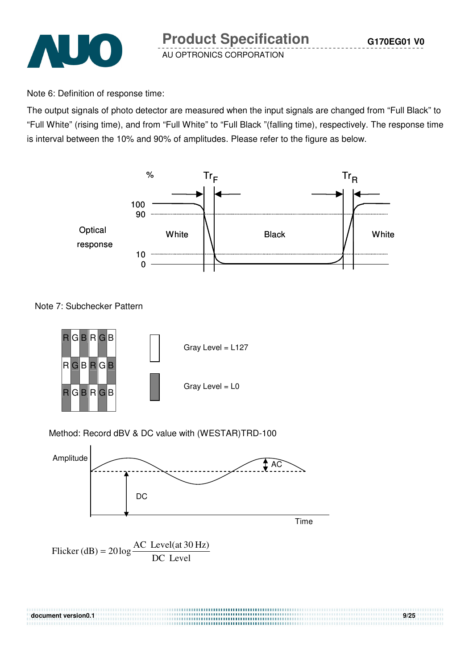

Note 6: Definition of response time:

The output signals of photo detector are measured when the input signals are changed from "Full Black" to "Full White" (rising time), and from "Full White" to "Full Black "(falling time), respectively. The response time is interval between the 10% and 90% of amplitudes. Please refer to the figure as below.



Note 7: Subchecker Pattern



#### Method: Record dBV & DC value with (WESTAR)TRD-100



**document version of the contract version of the contract of the contract of the contract of the contract of the** 

Flicker (dB) = 
$$
20 \log \frac{AC \text{ Level(at 30 Hz})}{DC \text{ Level}}
$$

| document version 0.1 |  |
|----------------------|--|
|                      |  |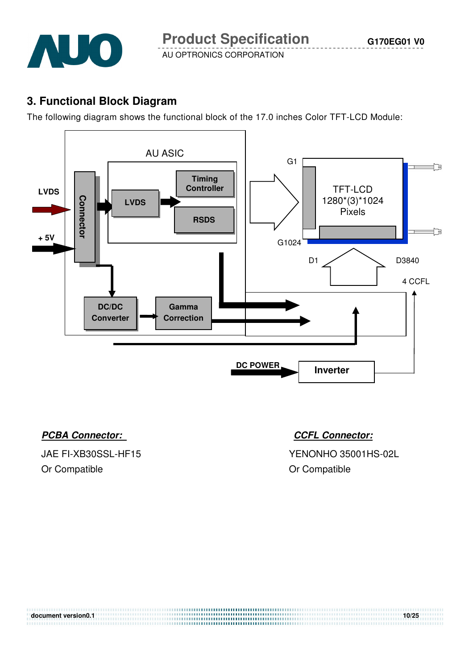

## **3. Functional Block Diagram**

The following diagram shows the functional block of the 17.0 inches Color TFT-LCD Module:



### **PCBA Connector:** CCFL Connector:

Or Compatible **Or Compatible Or Compatible** 

JAE FI-XB30SSL-HF15 YENONHO 35001HS-02L

| document version0.1 | 10/25 |
|---------------------|-------|
|                     |       |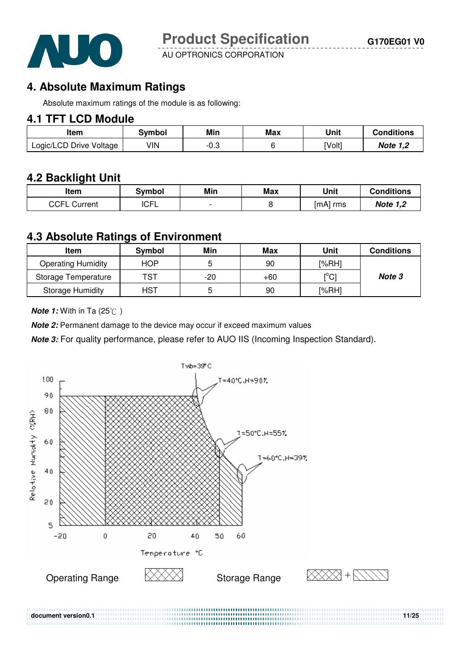

## **4. Absolute Maximum Ratings**

Absolute maximum ratings of the module is as following:

### **4.1 TFT LCD Module**

| ltem                    | 3vmbol | Min  | Max | Unit   | <b>Conditions</b> |
|-------------------------|--------|------|-----|--------|-------------------|
| Logic/LCD Drive Voltage | VIN    | -v.J |     | [Volt] | Note 1,2          |

## **4.2 Backlight Unit**

| ltem            | Svmbol      | Min | Max | Unit     | <b>Conditions</b> |
|-----------------|-------------|-----|-----|----------|-------------------|
| CCFL<br>Current | <b>ICFL</b> |     |     | [mA] rms | <b>Note 1,2</b>   |

#### **4.3 Absolute Ratings of Environment**

| Item                      | <b>Symbol</b> | Min   | Max   | Unit                         | <b>Conditions</b> |
|---------------------------|---------------|-------|-------|------------------------------|-------------------|
| <b>Operating Humidity</b> | HOP.          |       | 90    | [%RH]                        |                   |
| Storage Temperature       | TST           | $-20$ | $+60$ | $\mathsf{I}^\circ\mathsf{C}$ | Note 3            |
| <b>Storage Humidity</b>   | <b>HST</b>    |       | 90    | [%RH]                        |                   |

**Note 1:** With in Ta (25°C)

**Note 2:** Permanent damage to the device may occur if exceed maximum values

**Note 3:** For quality performance, please refer to AUO IIS (Incoming Inspection Standard).

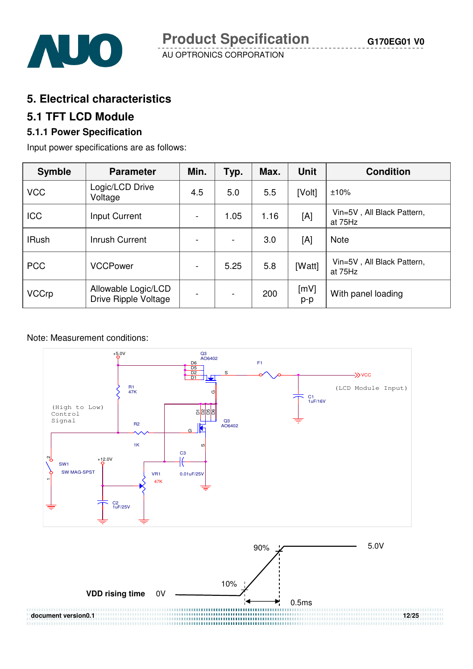

## **5. Electrical characteristics**

### **5.1 TFT LCD Module**

### **5.1.1 Power Specification**

Input power specifications are as follows:

| <b>Symble</b> | <b>Parameter</b>                            | Min.                     | Typ.                     | Max. | <b>Unit</b> | <b>Condition</b>                      |
|---------------|---------------------------------------------|--------------------------|--------------------------|------|-------------|---------------------------------------|
| <b>VCC</b>    | Logic/LCD Drive<br>Voltage                  | 4.5                      | 5.0                      | 5.5  | [Volt]      | ±10%                                  |
| <b>ICC</b>    | Input Current                               | $\blacksquare$           | 1.05                     | 1.16 | [A]         | Vin=5V, All Black Pattern,<br>at 75Hz |
| <b>IRush</b>  | Inrush Current                              |                          | $\blacksquare$           | 3.0  | [A]         | <b>Note</b>                           |
| <b>PCC</b>    | <b>VCCPower</b>                             | $\blacksquare$           | 5.25                     | 5.8  | [Watt]      | Vin=5V, All Black Pattern,<br>at 75Hz |
| <b>VCCrp</b>  | Allowable Logic/LCD<br>Drive Ripple Voltage | $\overline{\phantom{0}}$ | $\overline{\phantom{a}}$ | 200  | [mV]<br>p-p | With panel loading                    |

#### Note: Measurement conditions:

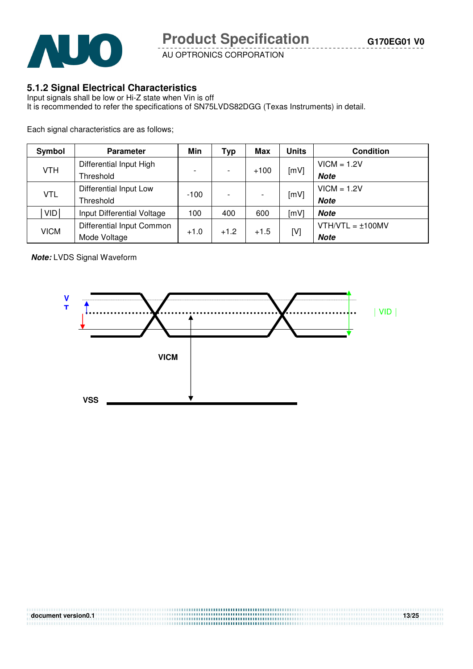

#### **5.1.2 Signal Electrical Characteristics**

Input signals shall be low or Hi-Z state when Vin is off It is recommended to refer the specifications of SN75LVDS82DGG (Texas Instruments) in detail.

Each signal characteristics are as follows;

| Symbol      | <b>Parameter</b>           | Min                      | Typ                      | Max    | <b>Units</b> | <b>Condition</b>      |               |
|-------------|----------------------------|--------------------------|--------------------------|--------|--------------|-----------------------|---------------|
|             | Differential Input High    |                          |                          |        |              | $VICM = 1.2V$         |               |
| <b>VTH</b>  | Threshold                  | $\overline{\phantom{0}}$ | $\overline{\phantom{0}}$ | $+100$ | [mV]         | <b>Note</b>           |               |
|             | Differential Input Low     |                          |                          |        |              |                       | $VICM = 1.2V$ |
| <b>VTL</b>  | Threshold                  | $-100$                   |                          |        | [mV]         | <b>Note</b>           |               |
| <b>VID</b>  | Input Differential Voltage | 100                      | 400                      | 600    | [mV]         | <b>Note</b>           |               |
|             | Differential Input Common  |                          |                          |        |              | $VTH/VTL = \pm 100MV$ |               |
| <b>VICM</b> | Mode Voltage               | $+1.0$                   | $+1.2$                   | $+1.5$ | [V]          | <b>Note</b>           |               |

**Note:** LVDS Signal Waveform

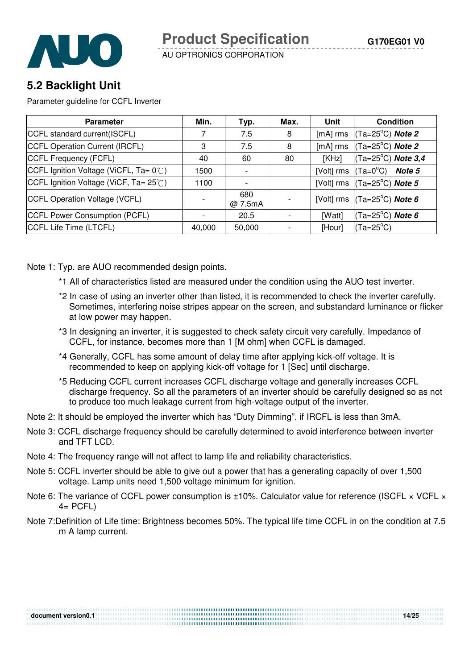

## **5.2 Backlight Unit**

Parameter guideline for CCFL Inverter

| <b>Parameter</b>                      | Min.   | Typ.                     | Max. | Unit       | <b>Condition</b>                                        |
|---------------------------------------|--------|--------------------------|------|------------|---------------------------------------------------------|
| CCFL standard current(ISCFL)          |        | 7.5                      | 8    | [mA] rms   | (Ta=25°C) <b>Note 2</b>                                 |
| CCFL Operation Current (IRCFL)        | 3      | 7.5                      | 8    | [mA] rms   | (Ta=25°C) <b>Note 2</b>                                 |
| CCFL Frequency (FCFL)                 | 40     | 60                       | 80   | [KHz]      | $(Ta=25^{\circ}C)$ Note 3,4                             |
| CCFL Ignition Voltage (ViCFL, Ta= 0℃) | 1500   | $\overline{\phantom{a}}$ |      | [Volt] rms | (Ta=0°C)<br><b>Note 5</b>                               |
| CCFL Ignition Voltage (ViCF, Ta= 25℃) | 1100   |                          |      |            | [Volt] rms $\vert$ (Ta=25 <sup>°</sup> C) <b>Note 5</b> |
| CCFL Operation Voltage (VCFL)         |        | 680<br>@ 7.5mA           |      |            | [Volt] rms $\vert$ (Ta=25 <sup>°</sup> C) <b>Note 6</b> |
| CCFL Power Consumption (PCFL)         |        | 20.5                     |      | [Watt]     | $(Ta=25^{\circ}C)$ Note 6                               |
| CCFL Life Time (LTCFL)                | 40,000 | 50,000                   |      | [Hour]     | $(Ta=25^{\circ}C)$                                      |

Note 1: Typ. are AUO recommended design points.

- \*1 All of characteristics listed are measured under the condition using the AUO test inverter.
- \*2 In case of using an inverter other than listed, it is recommended to check the inverter carefully. Sometimes, interfering noise stripes appear on the screen, and substandard luminance or flicker at low power may happen.
- \*3 In designing an inverter, it is suggested to check safety circuit very carefully. Impedance of CCFL, for instance, becomes more than 1 [M ohm] when CCFL is damaged.
- \*4 Generally, CCFL has some amount of delay time after applying kick-off voltage. It is recommended to keep on applying kick-off voltage for 1 [Sec] until discharge.
- \*5 Reducing CCFL current increases CCFL discharge voltage and generally increases CCFL discharge frequency. So all the parameters of an inverter should be carefully designed so as not to produce too much leakage current from high-voltage output of the inverter.
- Note 2: It should be employed the inverter which has "Duty Dimming", if IRCFL is less than 3mA.
- Note 3: CCFL discharge frequency should be carefully determined to avoid interference between inverter and TFT LCD.
- Note 4: The frequency range will not affect to lamp life and reliability characteristics.
- Note 5: CCFL inverter should be able to give out a power that has a generating capacity of over 1,500 voltage. Lamp units need 1,500 voltage minimum for ignition.

**document version0.1** 14/25

- Note 6: The variance of CCFL power consumption is ±10%. Calculator value for reference (ISCFL × VCFL ×  $4=$  PCFL)
- Note 7:Definition of Life time: Brightness becomes 50%. The typical life time CCFL in on the condition at 7.5 m A lamp current.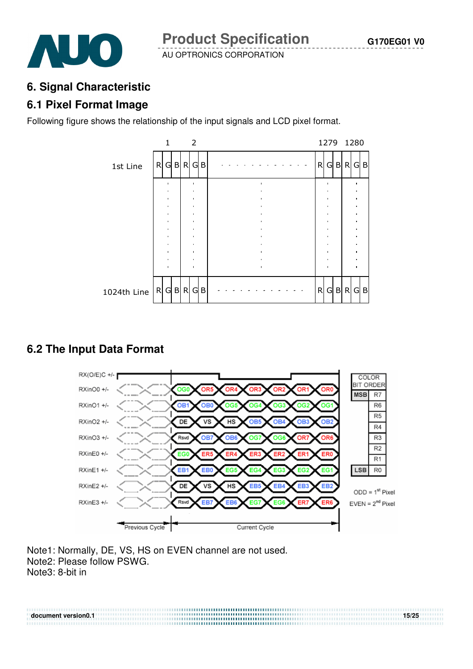

#### **6. Signal Characteristic**

### **6.1 Pixel Format Image**

Following figure shows the relationship of the input signals and LCD pixel format.



## **6.2 The Input Data Format**



**document version0.1 15/25** 

Note1: Normally, DE, VS, HS on EVEN channel are not used. Note2: Please follow PSWG. Note3: 8-bit in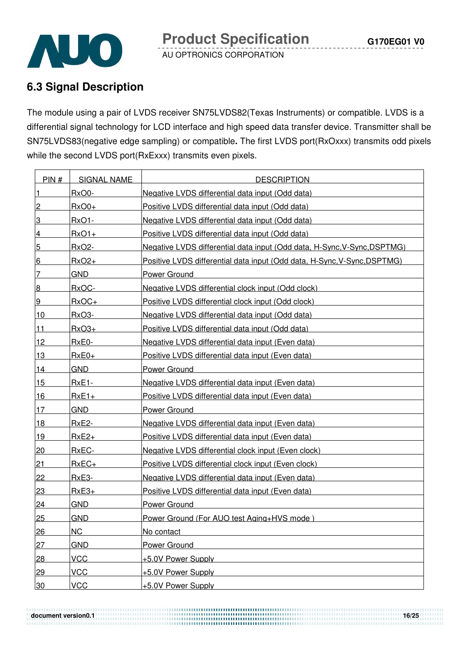

## **6.3 Signal Description**

The module using a pair of LVDS receiver SN75LVDS82(Texas Instruments) or compatible. LVDS is a differential signal technology for LCD interface and high speed data transfer device. Transmitter shall be SN75LVDS83(negative edge sampling) or compatible**.** The first LVDS port(RxOxxx) transmits odd pixels while the second LVDS port(RxExxx) transmits even pixels.

| PIN#            | <b>SIGNAL NAME</b> | <b>DESCRIPTION</b>                                                       |
|-----------------|--------------------|--------------------------------------------------------------------------|
| $\vert$ 1       | RxO0-              | Negative LVDS differential data input (Odd data)                         |
| $\overline{2}$  | $RxO0+$            | Positive LVDS differential data input (Odd data)                         |
| 3               | $RxO1 -$           | Negative LVDS differential data input (Odd data)                         |
| $\overline{4}$  | $RxO1+$            | Positive LVDS differential data input (Odd data)                         |
| $5\overline{)}$ | <b>RxO2-</b>       | Negative LVDS differential data input (Odd data, H-Sync, V-Sync, DSPTMG) |
| $6 \overline{}$ | $RxO2+$            | Positive LVDS differential data input (Odd data, H-Sync, V-Sync, DSPTMG) |
| 7               | <b>GND</b>         | Power Ground                                                             |
| 8               | RxOC-              | Negative LVDS differential clock input (Odd clock)                       |
| 9               | $RxOC+$            | Positive LVDS differential clock input (Odd clock)                       |
| 10              | RxO3-              | Negative LVDS differential data input (Odd data)                         |
| $11$            | $RxO3+$            | Positive LVDS differential data input (Odd data)                         |
| 12              | RxE0-              | Negative LVDS differential data input (Even data)                        |
| 13              | $RxE0+$            | Positive LVDS differential data input (Even data)                        |
| 14              | <b>GND</b>         | <b>Power Ground</b>                                                      |
| 15              | $RxE1-$            | Negative LVDS differential data input (Even data)                        |
| <u>16</u>       | $RxE1+$            | Positive LVDS differential data input (Even data)                        |
| 17              | <b>GND</b>         | Power Ground                                                             |
| 18              | <b>RxE2-</b>       | Negative LVDS differential data input (Even data)                        |
| 19              | $RxE2+$            | Positive LVDS differential data input (Even data)                        |
| 20              | RxEC-              | Negative LVDS differential clock input (Even clock)                      |
| <u>21</u>       | $RxEC+$            | Positive LVDS differential clock input (Even clock)                      |
| 22              | RxE3-              | Negative LVDS differential data input (Even data)                        |
| 23              | $RxE3+$            | Positive LVDS differential data input (Even data)                        |
| 24              | <b>GND</b>         | <b>Power Ground</b>                                                      |
| 25              | <b>GND</b>         | Power Ground (For AUO test Aging+HVS mode)                               |
| 26              | <b>NC</b>          | No contact                                                               |
| 27              | <b>GND</b>         | <b>Power Ground</b>                                                      |
| 28              | <b>VCC</b>         | +5.0V Power Supply                                                       |
| 29              | <b>VCC</b>         | +5.0V Power Supply                                                       |
| 30              | <b>VCC</b>         | +5.0V Power Supply                                                       |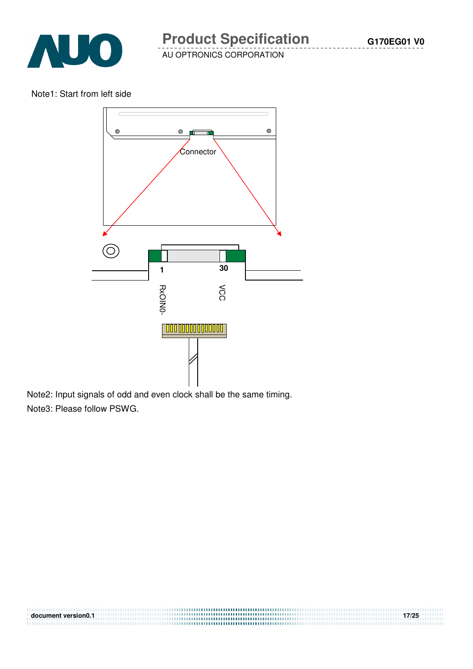

Note1: Start from left side



**document version0.1 17/25** 

Note2: Input signals of odd and even clock shall be the same timing. Note3: Please follow PSWG.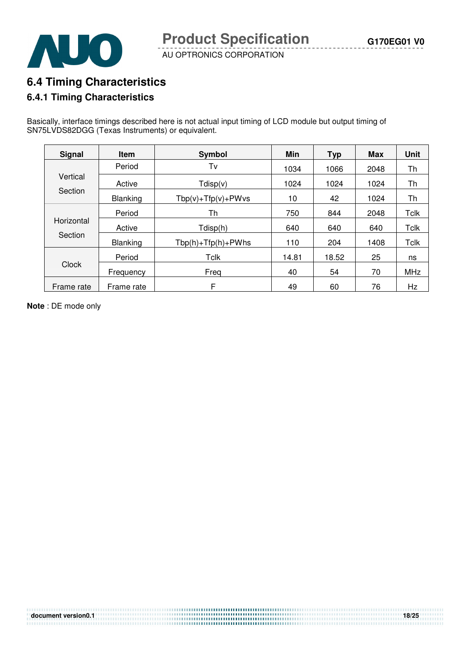

## **6.4 Timing Characteristics**

#### **6.4.1 Timing Characteristics**

Basically, interface timings described here is not actual input timing of LCD module but output timing of SN75LVDS82DGG (Texas Instruments) or equivalent.

| <b>Signal</b> | <b>Item</b> | Symbol                   | Min   | <b>Typ</b> | <b>Max</b> | <b>Unit</b> |
|---------------|-------------|--------------------------|-------|------------|------------|-------------|
|               | Period      | Tv                       | 1034  | 1066       | 2048       | Th          |
| Vertical      | Active      | Tdisp(v)                 | 1024  | 1024       | 1024       | Th          |
| Section       | Blanking    | $Tbp(v) + Tfp(v) + PWvs$ | 10    | 42         | 1024       | Th          |
| Horizontal    | Period      | Th                       | 750   | 844        | 2048       | <b>Tclk</b> |
|               | Active      | Tdisp(h)                 | 640   | 640        | 640        | <b>Tclk</b> |
| Section       | Blanking    | $Tbp(h) + Tfp(h) + PWhs$ | 110   | 204        | 1408       | Tclk        |
|               | Period      | Tclk                     | 14.81 | 18.52      | 25         | ns          |
| Clock         | Frequency   | Freg                     | 40    | 54         | 70         | MHz         |
| Frame rate    | Frame rate  | F                        | 49    | 60         | 76         | Hz          |

**document version0.1 18/25** 

**Note** : DE mode only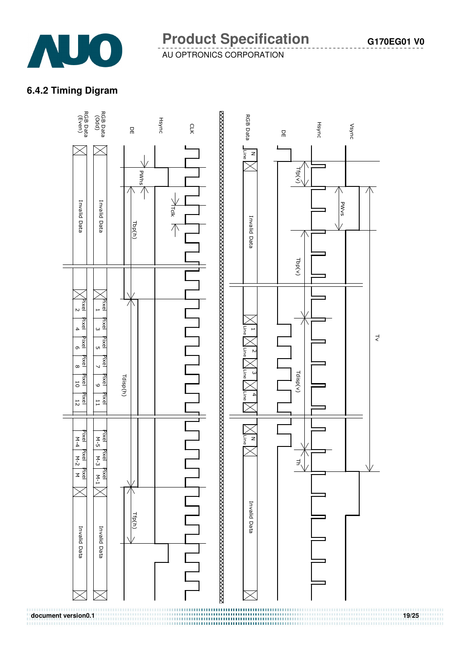

## **6.4.2 Timing Digram**

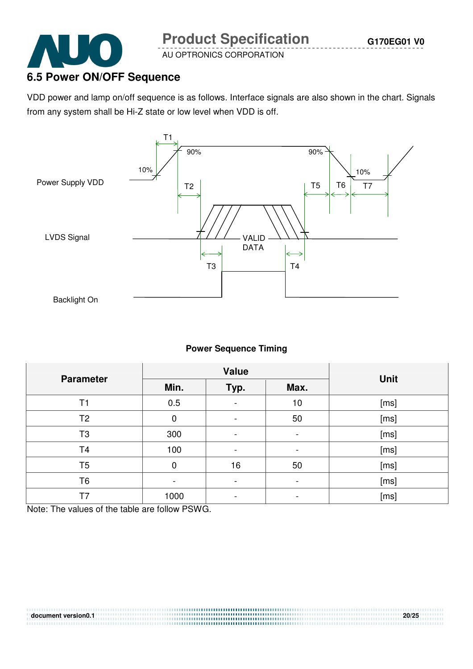

## **6.5 Power ON/OFF Sequence**

VDD power and lamp on/off sequence is as follows. Interface signals are also shown in the chart. Signals from any system shall be Hi-Z state or low level when VDD is off.



#### **Power Sequence Timing**

| <b>Parameter</b> |             | <b>Value</b>             |                          |             |
|------------------|-------------|--------------------------|--------------------------|-------------|
|                  | Min.        | Typ.                     | Max.                     | <b>Unit</b> |
| T1               | 0.5         |                          | 10                       | [ms]        |
| T <sub>2</sub>   | $\mathbf 0$ | $\overline{\phantom{0}}$ | 50                       | [ms]        |
| T <sub>3</sub>   | 300         | $\overline{\phantom{0}}$ | -                        | [ms]        |
| T <sub>4</sub>   | 100         | $\overline{\phantom{0}}$ | $\overline{\phantom{a}}$ | [ms]        |
| T <sub>5</sub>   | 0           | 16                       | 50                       | [ms]        |
| T <sub>6</sub>   |             |                          | $\overline{\phantom{0}}$ | [ms]        |
| T7               | 1000        | $\overline{\phantom{0}}$ | -                        | [ms]        |

Note: The values of the table are follow PSWG.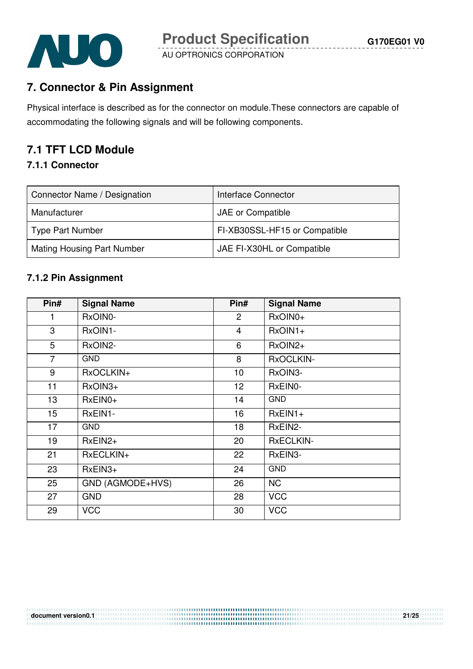

## **7. Connector & Pin Assignment**

Physical interface is described as for the connector on module.These connectors are capable of accommodating the following signals and will be following components.

## **7.1 TFT LCD Module**

#### **7.1.1 Connector**

| Connector Name / Designation      | Interface Connector           |
|-----------------------------------|-------------------------------|
| Manufacturer                      | JAE or Compatible             |
| <b>Type Part Number</b>           | FI-XB30SSL-HF15 or Compatible |
| <b>Mating Housing Part Number</b> | JAE FI-X30HL or Compatible    |

#### **7.1.2 Pin Assignment**

| Pin#             | <b>Signal Name</b> | Pin#           | <b>Signal Name</b> |
|------------------|--------------------|----------------|--------------------|
| 1                | RxOIN0-            | 2              | RxOIN0+            |
| 3                | RxOIN1-            | $\overline{4}$ | $RxOIN1+$          |
| 5                | RxOIN2-            | 6              | $RxOIN2+$          |
| $\overline{7}$   | <b>GND</b>         | 8              | RxOCLKIN-          |
| 9                | RxOCLKIN+          | 10             | RxOIN3-            |
| 11               | RxOIN3+            | 12             | RxEIN0-            |
| 13               | $RxEINO+$          | 14             | <b>GND</b>         |
| 15 <sub>15</sub> | RxEIN1-            | 16             | $RxEIN1+$          |
| 17               | <b>GND</b>         | 18             | RxEIN2-            |
| 19               | $RxEIN2+$          | 20             | <b>RxECLKIN-</b>   |
| 21               | RxECLKIN+          | 22             | RxEIN3-            |
| 23               | $RxEIN3+$          | 24             | <b>GND</b>         |
| 25               | GND (AGMODE+HVS)   | 26             | <b>NC</b>          |
| 27               | <b>GND</b>         | 28             | <b>VCC</b>         |
| 29               | <b>VCC</b>         | 30             | <b>VCC</b>         |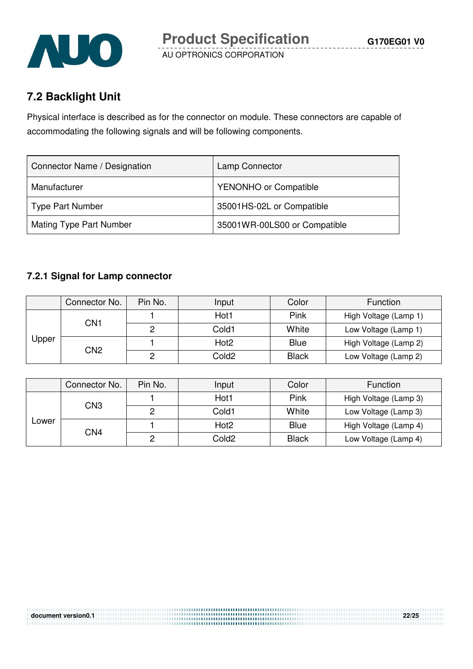

## **7.2 Backlight Unit**

Physical interface is described as for the connector on module. These connectors are capable of accommodating the following signals and will be following components.

| Connector Name / Designation | Lamp Connector               |
|------------------------------|------------------------------|
| Manufacturer                 | <b>YENONHO or Compatible</b> |
| <b>Type Part Number</b>      | 35001HS-02L or Compatible    |
| Mating Type Part Number      | 35001WR-00LS00 or Compatible |

### **7.2.1 Signal for Lamp connector**

|              | Connector No.   | Pin No. | Input             | Color        | Function              |
|--------------|-----------------|---------|-------------------|--------------|-----------------------|
| <b>Upper</b> | CN1             |         | Hot1              | Pink         | High Voltage (Lamp 1) |
|              |                 |         | Cold1             | White        | Low Voltage (Lamp 1)  |
|              | CN <sub>2</sub> |         | Hot <sub>2</sub>  | <b>Blue</b>  | High Voltage (Lamp 2) |
|              |                 |         | Cold <sub>2</sub> | <b>Black</b> | Low Voltage (Lamp 2)  |

|       | Connector No. | Pin No. | Input            | Color        | Function              |
|-------|---------------|---------|------------------|--------------|-----------------------|
| ∟ower | CN3           |         | Hot1             | Pink         | High Voltage (Lamp 3) |
|       |               | ∩       | Cold1            | White        | Low Voltage (Lamp 3)  |
|       | CN4           |         | Hot <sub>2</sub> | <b>Blue</b>  | High Voltage (Lamp 4) |
|       |               |         | Cold2            | <b>Black</b> | Low Voltage (Lamp 4)  |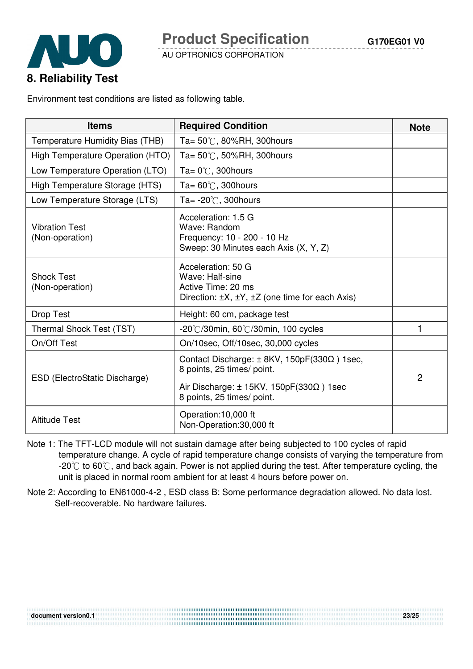



Environment test conditions are listed as following table.

| <b>Items</b>                             | <b>Required Condition</b>                                                                                                      | <b>Note</b> |
|------------------------------------------|--------------------------------------------------------------------------------------------------------------------------------|-------------|
| Temperature Humidity Bias (THB)          | Ta= $50^{\circ}$ C, 80%RH, 300 hours                                                                                           |             |
| High Temperature Operation (HTO)         | Ta= $50^{\circ}$ C, 50%RH, 300 hours                                                                                           |             |
| Low Temperature Operation (LTO)          | Ta= $0^{\circ}$ C, 300 hours                                                                                                   |             |
| High Temperature Storage (HTS)           | Ta= $60^{\circ}$ C, 300hours                                                                                                   |             |
| Low Temperature Storage (LTS)            | Ta= $-20^{\circ}$ C, 300 hours                                                                                                 |             |
| <b>Vibration Test</b><br>(Non-operation) | Acceleration: 1.5 G<br>Wave: Random<br>Frequency: 10 - 200 - 10 Hz<br>Sweep: 30 Minutes each Axis (X, Y, Z)                    |             |
| <b>Shock Test</b><br>(Non-operation)     | Acceleration: 50 G<br>Wave: Half-sine<br>Active Time: 20 ms<br>Direction: $\pm X$ , $\pm Y$ , $\pm Z$ (one time for each Axis) |             |
| <b>Drop Test</b>                         | Height: 60 cm, package test                                                                                                    |             |
| Thermal Shock Test (TST)                 | $-20^{\circ}$ C/30min, 60 $^{\circ}$ C/30min, 100 cycles                                                                       | 1           |
| On/Off Test                              | On/10sec, Off/10sec, 30,000 cycles                                                                                             |             |
|                                          | Contact Discharge: $\pm$ 8KV, 150pF(330 $\Omega$ ) 1sec,<br>8 points, 25 times/ point.                                         | 2           |
| ESD (ElectroStatic Discharge)            | Air Discharge: $\pm$ 15KV, 150pF(330 $\Omega$ ) 1sec<br>8 points, 25 times/ point.                                             |             |
| <b>Altitude Test</b>                     | Operation:10,000 ft<br>Non-Operation:30,000 ft                                                                                 |             |

- Note 1: The TFT-LCD module will not sustain damage after being subjected to 100 cycles of rapid temperature change. A cycle of rapid temperature change consists of varying the temperature from  $-20^{\circ}$  to 60 $^{\circ}$ , and back again. Power is not applied during the test. After temperature cycling, the unit is placed in normal room ambient for at least 4 hours before power on.
- Note 2: According to EN61000-4-2 , ESD class B: Some performance degradation allowed. No data lost. Self-recoverable. No hardware failures.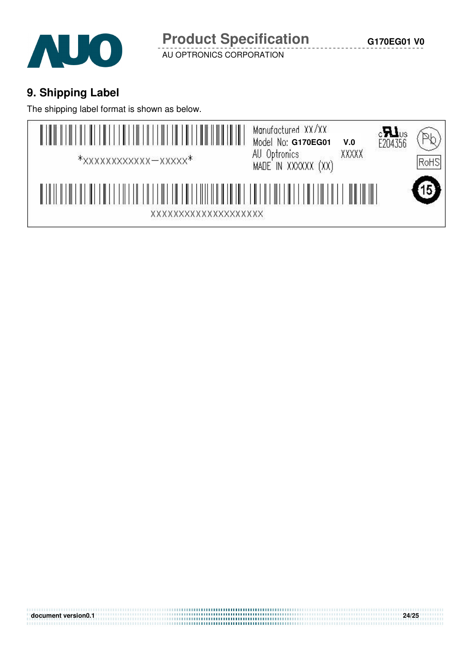

## **9. Shipping Label**

The shipping label format is shown as below.



**document version0.1 24/25**